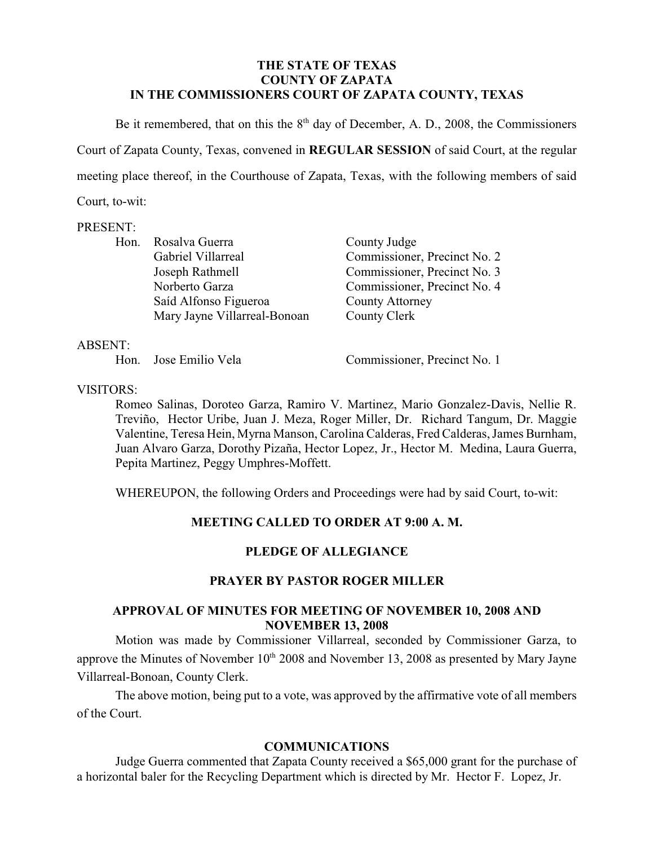#### **THE STATE OF TEXAS COUNTY OF ZAPATA IN THE COMMISSIONERS COURT OF ZAPATA COUNTY, TEXAS**

Be it remembered, that on this the  $8<sup>th</sup>$  day of December, A. D., 2008, the Commissioners Court of Zapata County, Texas, convened in **REGULAR SESSION** of said Court, at the regular meeting place thereof, in the Courthouse of Zapata, Texas, with the following members of said Court, to-wit:

#### PRESENT:

|  | Hon. Rosalva Guerra          | County Judge                 |
|--|------------------------------|------------------------------|
|  | Gabriel Villarreal           | Commissioner, Precinct No. 2 |
|  | Joseph Rathmell              | Commissioner, Precinct No. 3 |
|  | Norberto Garza               | Commissioner, Precinct No. 4 |
|  | Saíd Alfonso Figueroa        | <b>County Attorney</b>       |
|  | Mary Jayne Villarreal-Bonoan | County Clerk                 |
|  |                              |                              |

#### ABSENT:

Hon. Jose Emilio Vela Commissioner, Precinct No. 1

VISITORS:

Romeo Salinas, Doroteo Garza, Ramiro V. Martinez, Mario Gonzalez-Davis, Nellie R. Treviño, Hector Uribe, Juan J. Meza, Roger Miller, Dr. Richard Tangum, Dr. Maggie Valentine, Teresa Hein, Myrna Manson, Carolina Calderas, Fred Calderas,James Burnham, Juan Alvaro Garza, Dorothy Pizaña, Hector Lopez, Jr., Hector M. Medina, Laura Guerra, Pepita Martinez, Peggy Umphres-Moffett.

WHEREUPON, the following Orders and Proceedings were had by said Court, to-wit:

### **MEETING CALLED TO ORDER AT 9:00 A. M.**

### **PLEDGE OF ALLEGIANCE**

### **PRAYER BY PASTOR ROGER MILLER**

#### **APPROVAL OF MINUTES FOR MEETING OF NOVEMBER 10, 2008 AND NOVEMBER 13, 2008**

Motion was made by Commissioner Villarreal, seconded by Commissioner Garza, to approve the Minutes of November  $10<sup>th</sup> 2008$  and November 13, 2008 as presented by Mary Jayne Villarreal-Bonoan, County Clerk.

The above motion, being put to a vote, was approved by the affirmative vote of all members of the Court.

### **COMMUNICATIONS**

Judge Guerra commented that Zapata County received a \$65,000 grant for the purchase of a horizontal baler for the Recycling Department which is directed by Mr. Hector F. Lopez, Jr.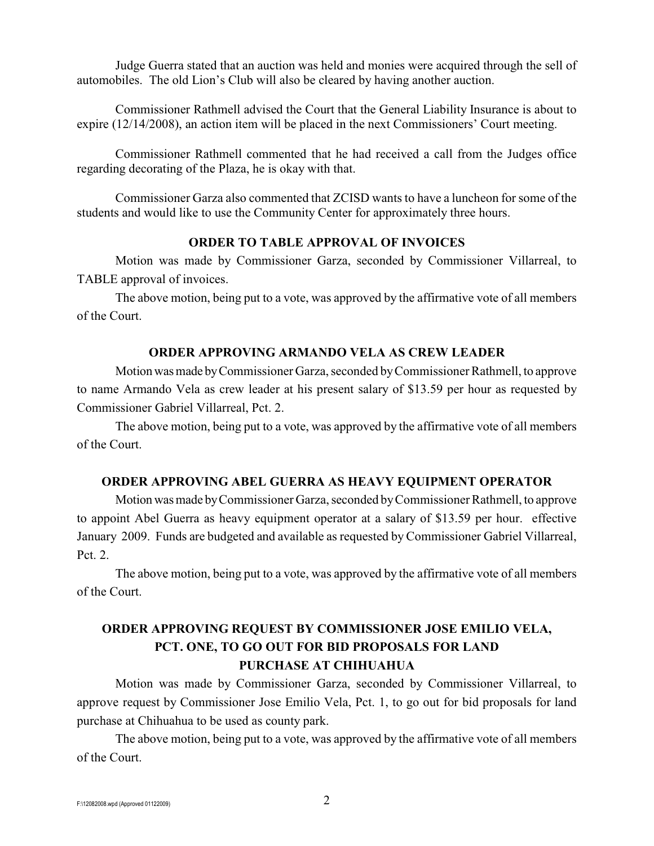Judge Guerra stated that an auction was held and monies were acquired through the sell of automobiles. The old Lion's Club will also be cleared by having another auction.

Commissioner Rathmell advised the Court that the General Liability Insurance is about to expire (12/14/2008), an action item will be placed in the next Commissioners' Court meeting.

Commissioner Rathmell commented that he had received a call from the Judges office regarding decorating of the Plaza, he is okay with that.

Commissioner Garza also commented that ZCISD wants to have a luncheon for some of the students and would like to use the Community Center for approximately three hours.

#### **ORDER TO TABLE APPROVAL OF INVOICES**

Motion was made by Commissioner Garza, seconded by Commissioner Villarreal, to TABLE approval of invoices.

The above motion, being put to a vote, was approved by the affirmative vote of all members of the Court.

#### **ORDER APPROVING ARMANDO VELA AS CREW LEADER**

Motion was made by Commissioner Garza, seconded by Commissioner Rathmell, to approve to name Armando Vela as crew leader at his present salary of \$13.59 per hour as requested by Commissioner Gabriel Villarreal, Pct. 2.

The above motion, being put to a vote, was approved by the affirmative vote of all members of the Court.

#### **ORDER APPROVING ABEL GUERRA AS HEAVY EQUIPMENT OPERATOR**

Motion was made by Commissioner Garza, seconded by Commissioner Rathmell, to approve to appoint Abel Guerra as heavy equipment operator at a salary of \$13.59 per hour. effective January 2009. Funds are budgeted and available as requested by Commissioner Gabriel Villarreal, Pct. 2.

The above motion, being put to a vote, was approved by the affirmative vote of all members of the Court.

## **ORDER APPROVING REQUEST BY COMMISSIONER JOSE EMILIO VELA, PCT. ONE, TO GO OUT FOR BID PROPOSALS FOR LAND PURCHASE AT CHIHUAHUA**

Motion was made by Commissioner Garza, seconded by Commissioner Villarreal, to approve request by Commissioner Jose Emilio Vela, Pct. 1, to go out for bid proposals for land purchase at Chihuahua to be used as county park.

The above motion, being put to a vote, was approved by the affirmative vote of all members of the Court.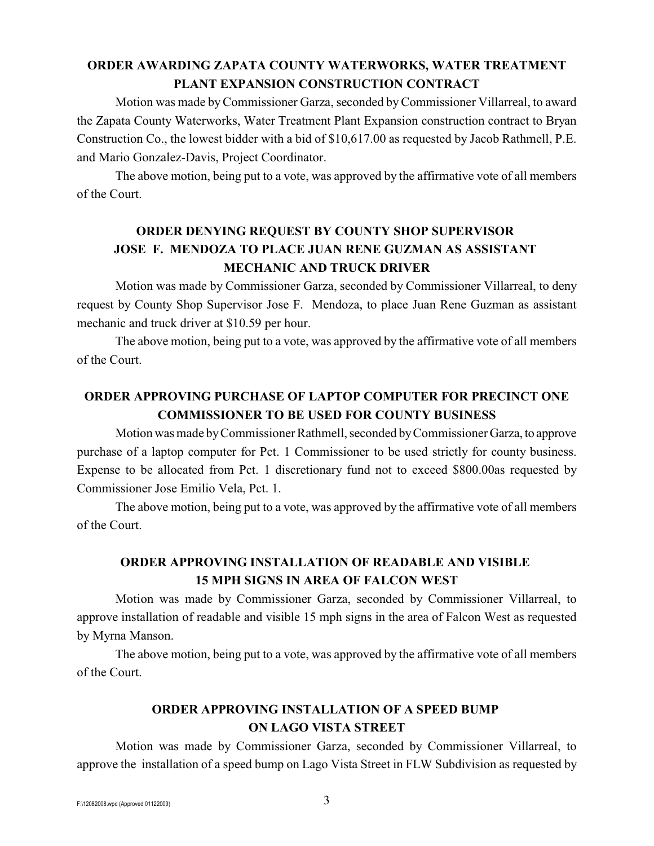## **ORDER AWARDING ZAPATA COUNTY WATERWORKS, WATER TREATMENT PLANT EXPANSION CONSTRUCTION CONTRACT**

Motion was made byCommissioner Garza, seconded byCommissioner Villarreal, to award the Zapata County Waterworks, Water Treatment Plant Expansion construction contract to Bryan Construction Co., the lowest bidder with a bid of \$10,617.00 as requested by Jacob Rathmell, P.E. and Mario Gonzalez-Davis, Project Coordinator.

The above motion, being put to a vote, was approved by the affirmative vote of all members of the Court.

# **ORDER DENYING REQUEST BY COUNTY SHOP SUPERVISOR JOSE F. MENDOZA TO PLACE JUAN RENE GUZMAN AS ASSISTANT MECHANIC AND TRUCK DRIVER**

Motion was made by Commissioner Garza, seconded by Commissioner Villarreal, to deny request by County Shop Supervisor Jose F. Mendoza, to place Juan Rene Guzman as assistant mechanic and truck driver at \$10.59 per hour.

The above motion, being put to a vote, was approved by the affirmative vote of all members of the Court.

# **ORDER APPROVING PURCHASE OF LAPTOP COMPUTER FOR PRECINCT ONE COMMISSIONER TO BE USED FOR COUNTY BUSINESS**

Motion was made by Commissioner Rathmell, seconded by Commissioner Garza, to approve purchase of a laptop computer for Pct. 1 Commissioner to be used strictly for county business. Expense to be allocated from Pct. 1 discretionary fund not to exceed \$800.00as requested by Commissioner Jose Emilio Vela, Pct. 1.

The above motion, being put to a vote, was approved by the affirmative vote of all members of the Court.

## **ORDER APPROVING INSTALLATION OF READABLE AND VISIBLE 15 MPH SIGNS IN AREA OF FALCON WEST**

Motion was made by Commissioner Garza, seconded by Commissioner Villarreal, to approve installation of readable and visible 15 mph signs in the area of Falcon West as requested by Myrna Manson.

The above motion, being put to a vote, was approved by the affirmative vote of all members of the Court.

### **ORDER APPROVING INSTALLATION OF A SPEED BUMP ON LAGO VISTA STREET**

Motion was made by Commissioner Garza, seconded by Commissioner Villarreal, to approve the installation of a speed bump on Lago Vista Street in FLW Subdivision as requested by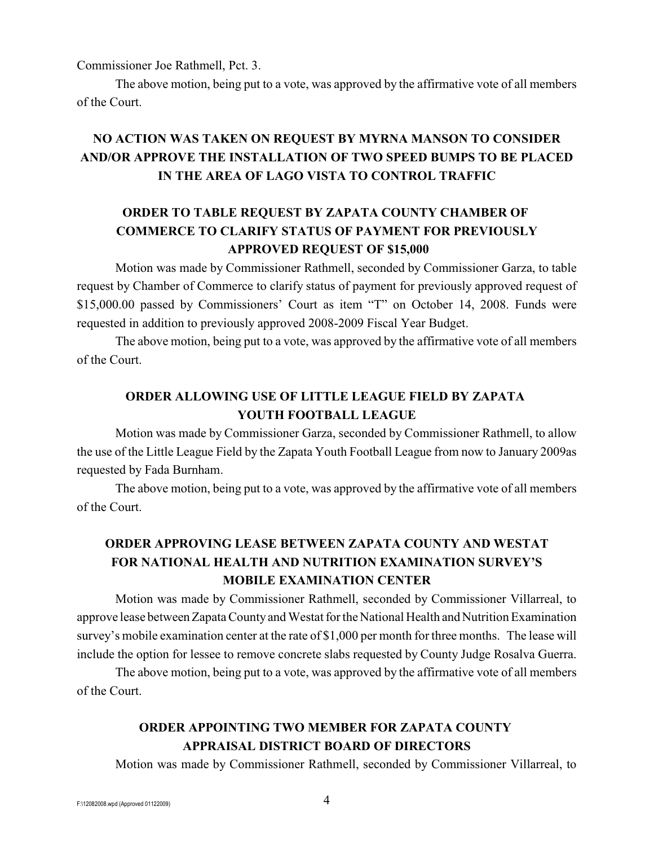Commissioner Joe Rathmell, Pct. 3.

The above motion, being put to a vote, was approved by the affirmative vote of all members of the Court.

# **NO ACTION WAS TAKEN ON REQUEST BY MYRNA MANSON TO CONSIDER AND/OR APPROVE THE INSTALLATION OF TWO SPEED BUMPS TO BE PLACED IN THE AREA OF LAGO VISTA TO CONTROL TRAFFIC**

### **ORDER TO TABLE REQUEST BY ZAPATA COUNTY CHAMBER OF COMMERCE TO CLARIFY STATUS OF PAYMENT FOR PREVIOUSLY APPROVED REQUEST OF \$15,000**

Motion was made by Commissioner Rathmell, seconded by Commissioner Garza, to table request by Chamber of Commerce to clarify status of payment for previously approved request of \$15,000.00 passed by Commissioners' Court as item "T" on October 14, 2008. Funds were requested in addition to previously approved 2008-2009 Fiscal Year Budget.

The above motion, being put to a vote, was approved by the affirmative vote of all members of the Court.

## **ORDER ALLOWING USE OF LITTLE LEAGUE FIELD BY ZAPATA YOUTH FOOTBALL LEAGUE**

Motion was made by Commissioner Garza, seconded by Commissioner Rathmell, to allow the use of the Little League Field by the Zapata Youth Football League from now to January 2009as requested by Fada Burnham.

The above motion, being put to a vote, was approved by the affirmative vote of all members of the Court.

# **ORDER APPROVING LEASE BETWEEN ZAPATA COUNTY AND WESTAT FOR NATIONAL HEALTH AND NUTRITION EXAMINATION SURVEY'S MOBILE EXAMINATION CENTER**

Motion was made by Commissioner Rathmell, seconded by Commissioner Villarreal, to approve lease between Zapata County and Westat for the National Health and Nutrition Examination survey's mobile examination center at the rate of \$1,000 per month for three months. The lease will include the option for lessee to remove concrete slabs requested by County Judge Rosalva Guerra.

The above motion, being put to a vote, was approved by the affirmative vote of all members of the Court.

# **ORDER APPOINTING TWO MEMBER FOR ZAPATA COUNTY APPRAISAL DISTRICT BOARD OF DIRECTORS**

Motion was made by Commissioner Rathmell, seconded by Commissioner Villarreal, to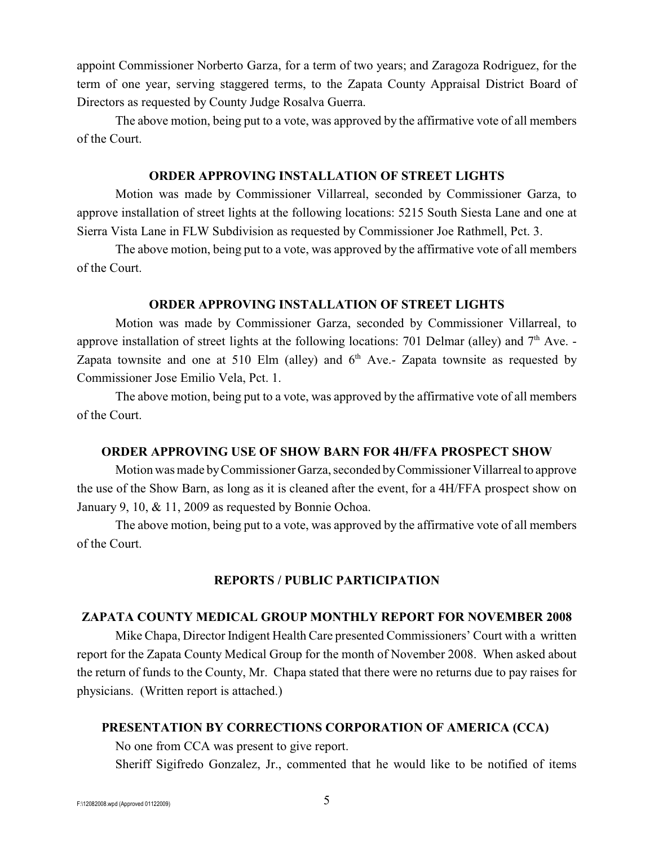appoint Commissioner Norberto Garza, for a term of two years; and Zaragoza Rodriguez, for the term of one year, serving staggered terms, to the Zapata County Appraisal District Board of Directors as requested by County Judge Rosalva Guerra.

The above motion, being put to a vote, was approved by the affirmative vote of all members of the Court.

#### **ORDER APPROVING INSTALLATION OF STREET LIGHTS**

Motion was made by Commissioner Villarreal, seconded by Commissioner Garza, to approve installation of street lights at the following locations: 5215 South Siesta Lane and one at Sierra Vista Lane in FLW Subdivision as requested by Commissioner Joe Rathmell, Pct. 3.

The above motion, being put to a vote, was approved by the affirmative vote of all members of the Court.

#### **ORDER APPROVING INSTALLATION OF STREET LIGHTS**

Motion was made by Commissioner Garza, seconded by Commissioner Villarreal, to approve installation of street lights at the following locations: 701 Delmar (alley) and  $7<sup>th</sup>$  Ave. -Zapata townsite and one at 510 Elm (alley) and  $6<sup>th</sup>$  Ave.- Zapata townsite as requested by Commissioner Jose Emilio Vela, Pct. 1.

The above motion, being put to a vote, was approved by the affirmative vote of all members of the Court.

#### **ORDER APPROVING USE OF SHOW BARN FOR 4H/FFA PROSPECT SHOW**

Motion was made by Commissioner Garza, seconded by Commissioner Villarreal to approve the use of the Show Barn, as long as it is cleaned after the event, for a 4H/FFA prospect show on January 9, 10, & 11, 2009 as requested by Bonnie Ochoa.

The above motion, being put to a vote, was approved by the affirmative vote of all members of the Court.

### **REPORTS / PUBLIC PARTICIPATION**

### **ZAPATA COUNTY MEDICAL GROUP MONTHLY REPORT FOR NOVEMBER 2008**

Mike Chapa, Director Indigent Health Care presented Commissioners' Court with a written report for the Zapata County Medical Group for the month of November 2008. When asked about the return of funds to the County, Mr. Chapa stated that there were no returns due to pay raises for physicians. (Written report is attached.)

#### **PRESENTATION BY CORRECTIONS CORPORATION OF AMERICA (CCA)**

No one from CCA was present to give report.

Sheriff Sigifredo Gonzalez, Jr., commented that he would like to be notified of items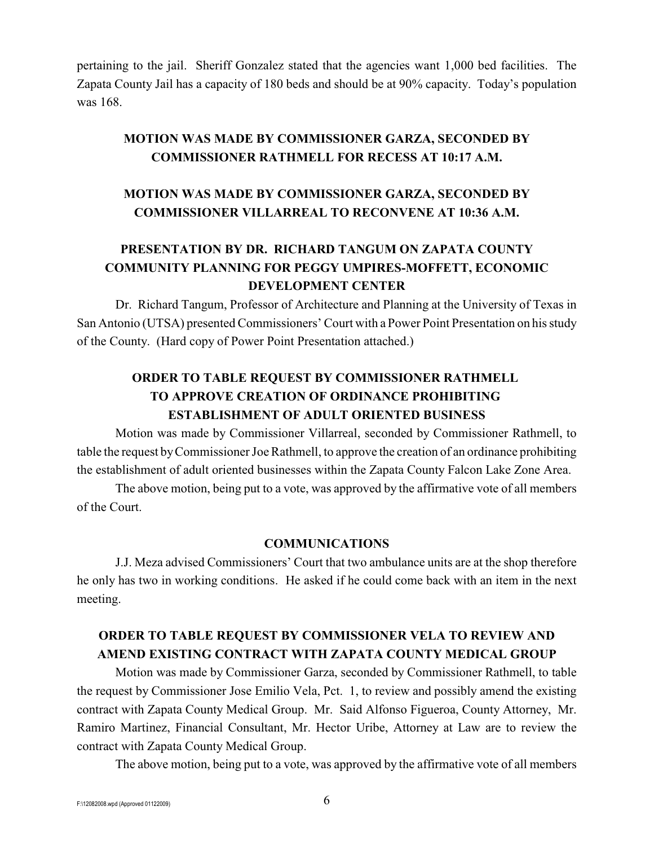pertaining to the jail. Sheriff Gonzalez stated that the agencies want 1,000 bed facilities. The Zapata County Jail has a capacity of 180 beds and should be at 90% capacity. Today's population was 168.

### **MOTION WAS MADE BY COMMISSIONER GARZA, SECONDED BY COMMISSIONER RATHMELL FOR RECESS AT 10:17 A.M.**

### **MOTION WAS MADE BY COMMISSIONER GARZA, SECONDED BY COMMISSIONER VILLARREAL TO RECONVENE AT 10:36 A.M.**

## **PRESENTATION BY DR. RICHARD TANGUM ON ZAPATA COUNTY COMMUNITY PLANNING FOR PEGGY UMPIRES-MOFFETT, ECONOMIC DEVELOPMENT CENTER**

Dr. Richard Tangum, Professor of Architecture and Planning at the University of Texas in San Antonio (UTSA) presented Commissioners' Court with a Power Point Presentation on his study of the County. (Hard copy of Power Point Presentation attached.)

# **ORDER TO TABLE REQUEST BY COMMISSIONER RATHMELL TO APPROVE CREATION OF ORDINANCE PROHIBITING ESTABLISHMENT OF ADULT ORIENTED BUSINESS**

Motion was made by Commissioner Villarreal, seconded by Commissioner Rathmell, to table the request by Commissioner Joe Rathmell, to approve the creation of an ordinance prohibiting the establishment of adult oriented businesses within the Zapata County Falcon Lake Zone Area.

The above motion, being put to a vote, was approved by the affirmative vote of all members of the Court.

#### **COMMUNICATIONS**

J.J. Meza advised Commissioners' Court that two ambulance units are at the shop therefore he only has two in working conditions. He asked if he could come back with an item in the next meeting.

## **ORDER TO TABLE REQUEST BY COMMISSIONER VELA TO REVIEW AND AMEND EXISTING CONTRACT WITH ZAPATA COUNTY MEDICAL GROUP**

Motion was made by Commissioner Garza, seconded by Commissioner Rathmell, to table the request by Commissioner Jose Emilio Vela, Pct. 1, to review and possibly amend the existing contract with Zapata County Medical Group. Mr. Said Alfonso Figueroa, County Attorney, Mr. Ramiro Martinez, Financial Consultant, Mr. Hector Uribe, Attorney at Law are to review the contract with Zapata County Medical Group.

The above motion, being put to a vote, was approved by the affirmative vote of all members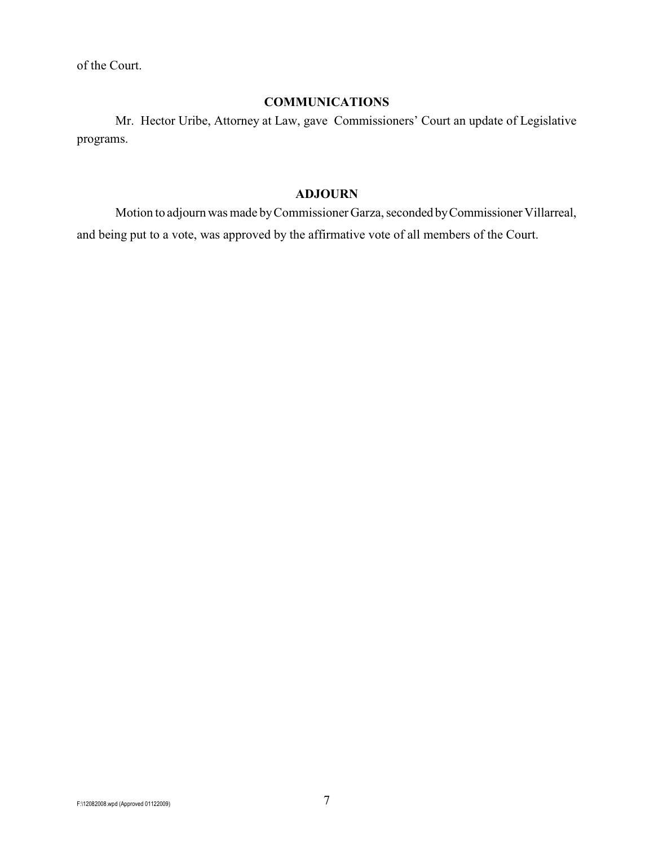of the Court.

### **COMMUNICATIONS**

Mr. Hector Uribe, Attorney at Law, gave Commissioners' Court an update of Legislative programs.

#### **ADJOURN**

Motion to adjourn was made by Commissioner Garza, seconded by Commissioner Villarreal, and being put to a vote, was approved by the affirmative vote of all members of the Court.